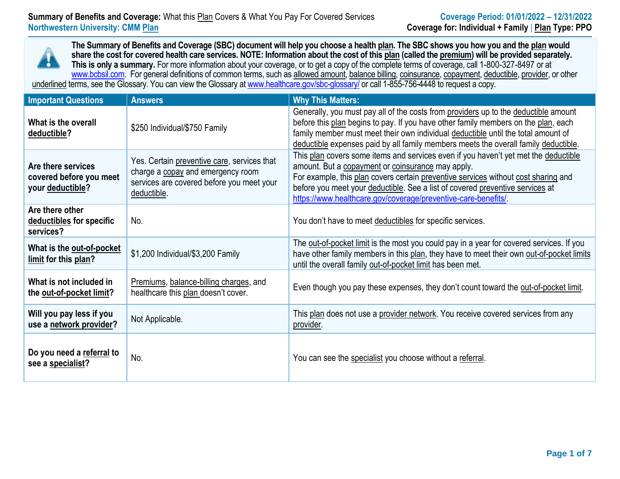### **Summary of Benefits and Coverage:** What this Plan Covers & What You Pay For Covered Services **Coverage Period: 01/01/2022 – 12/31/2022 Northwestern University: CMM Plan Coverage for: Individual + Family** | **Plan Type: PPO**

**The Summary of Benefits and Coverage (SBC) document will help you choose a health plan. The SBC shows you how you and the plan would share the cost for covered health care services. NOTE: Information about the cost of this plan (called the premium) will be provided separately. This is only a summary.** For more information about your coverage, or to get a copy of the complete terms of coverage, call 1-800-327-8497 or at [www.bcbsil.com.](file://///pwauswfsfs03/USERS3/U416410/SBC%20Custom/templates.calculators/IL%202021%20updated%20templates/ASO/www.bcbsil.com) For general definitions of common terms, such as allowed amount, balance billing, coinsurance, copayment, deductible, provider, or other underlined terms, see the Glossary. You can view the Glossary a[t www.healthcare.gov/sbc-glossary/](http://www.healthcare.gov/sbc-glossary/) or call 1-855-756-4448 to request a copy.

| <b>Important Questions</b>                                        | <b>Answers</b>                                                                                                                               | <b>Why This Matters:</b>                                                                                                                                                                                                                                                                                                                                                         |
|-------------------------------------------------------------------|----------------------------------------------------------------------------------------------------------------------------------------------|----------------------------------------------------------------------------------------------------------------------------------------------------------------------------------------------------------------------------------------------------------------------------------------------------------------------------------------------------------------------------------|
| What is the overall<br>deductible?                                | \$250 Individual/\$750 Family                                                                                                                | Generally, you must pay all of the costs from providers up to the deductible amount<br>before this plan begins to pay. If you have other family members on the plan, each<br>family member must meet their own individual deductible until the total amount of<br>deductible expenses paid by all family members meets the overall family deductible.                            |
| Are there services<br>covered before you meet<br>your deductible? | Yes. Certain preventive care, services that<br>charge a copay and emergency room<br>services are covered before you meet your<br>deductible. | This plan covers some items and services even if you haven't yet met the deductible<br>amount. But a copayment or coinsurance may apply.<br>For example, this plan covers certain preventive services without cost sharing and<br>before you meet your deductible. See a list of covered preventive services at<br>https://www.healthcare.gov/coverage/preventive-care-benefits/ |
| Are there other<br>deductibles for specific<br>services?          | No.                                                                                                                                          | You don't have to meet deductibles for specific services.                                                                                                                                                                                                                                                                                                                        |
| What is the out-of-pocket<br>limit for this plan?                 | \$1,200 Individual/\$3,200 Family                                                                                                            | The out-of-pocket limit is the most you could pay in a year for covered services. If you<br>have other family members in this plan, they have to meet their own out-of-pocket limits<br>until the overall family out-of-pocket limit has been met.                                                                                                                               |
| What is not included in<br>the out-of-pocket limit?               | Premiums, balance-billing charges, and<br>healthcare this plan doesn't cover.                                                                | Even though you pay these expenses, they don't count toward the out-of-pocket limit.                                                                                                                                                                                                                                                                                             |
| Will you pay less if you<br>use a network provider?               | Not Applicable.                                                                                                                              | This plan does not use a provider network. You receive covered services from any<br>provider.                                                                                                                                                                                                                                                                                    |
| Do you need a referral to<br>see a specialist?                    | No.                                                                                                                                          | You can see the specialist you choose without a referral.                                                                                                                                                                                                                                                                                                                        |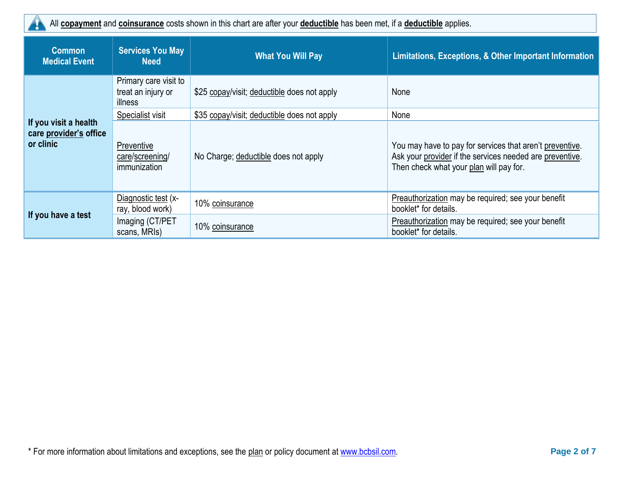All **copayment** and **coinsurance** costs shown in this chart are after your **deductible** has been met, if a **deductible** applies. H.

| <b>Common</b><br><b>Medical Event</b>                        | <b>Services You May</b><br><b>Need</b>                 | <b>What You Will Pay</b>                    | Limitations, Exceptions, & Other Important Information                                                                                                          |
|--------------------------------------------------------------|--------------------------------------------------------|---------------------------------------------|-----------------------------------------------------------------------------------------------------------------------------------------------------------------|
|                                                              | Primary care visit to<br>treat an injury or<br>illness | \$25 copay/visit; deductible does not apply | None                                                                                                                                                            |
|                                                              | Specialist visit                                       | \$35 copay/visit; deductible does not apply | None                                                                                                                                                            |
| If you visit a health<br>care provider's office<br>or clinic | Preventive<br>care/screening/<br>immunization          | No Charge; deductible does not apply        | You may have to pay for services that aren't preventive.<br>Ask your provider if the services needed are preventive.<br>Then check what your plan will pay for. |
| If you have a test                                           | Diagnostic test (x-<br>ray, blood work)                | 10% coinsurance                             | Preauthorization may be required; see your benefit<br>booklet* for details.                                                                                     |
|                                                              | Imaging (CT/PET<br>scans, MRIs)                        | 10% coinsurance                             | Preauthorization may be required; see your benefit<br>booklet* for details.                                                                                     |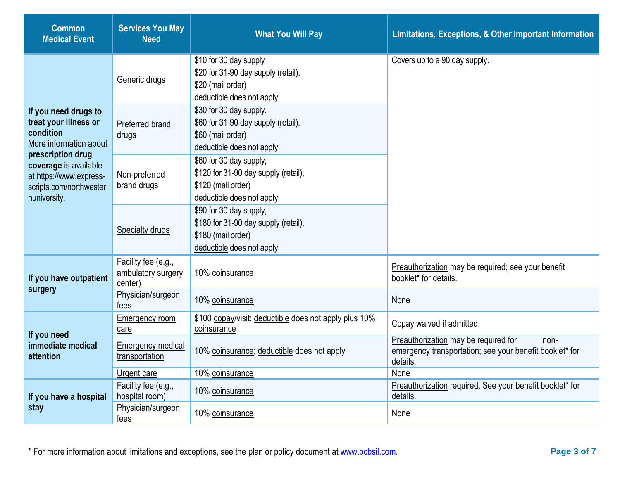| <b>Common</b><br><b>Medical Event</b>                                                                                                                                                                    | <b>Services You May</b><br><b>Need</b>               | <b>What You Will Pay</b>                                                                                           | Limitations, Exceptions, & Other Important Information                                                              |
|----------------------------------------------------------------------------------------------------------------------------------------------------------------------------------------------------------|------------------------------------------------------|--------------------------------------------------------------------------------------------------------------------|---------------------------------------------------------------------------------------------------------------------|
| If you need drugs to<br>treat your illness or<br>condition<br>More information about<br>prescription drug<br>coverage is available<br>at https://www.express-<br>scripts.com/northwester<br>nuniversity. | Generic drugs                                        | \$10 for 30 day supply<br>\$20 for 31-90 day supply (retail),<br>\$20 (mail order)<br>deductible does not apply    | Covers up to a 90 day supply.                                                                                       |
|                                                                                                                                                                                                          | Preferred brand<br>drugs                             | \$30 for 30 day supply,<br>\$60 for 31-90 day supply (retail),<br>\$60 (mail order)<br>deductible does not apply   |                                                                                                                     |
|                                                                                                                                                                                                          | Non-preferred<br>brand drugs                         | \$60 for 30 day supply,<br>\$120 for 31-90 day supply (retail),<br>\$120 (mail order)<br>deductible does not apply |                                                                                                                     |
|                                                                                                                                                                                                          | Specialty drugs                                      | \$90 for 30 day supply,<br>\$180 for 31-90 day supply (retail),<br>\$180 (mail order)<br>deductible does not apply |                                                                                                                     |
| If you have outpatient<br>surgery                                                                                                                                                                        | Facility fee (e.g.,<br>ambulatory surgery<br>center) | 10% coinsurance                                                                                                    | Preauthorization may be required; see your benefit<br>booklet* for details.                                         |
|                                                                                                                                                                                                          | Physician/surgeon<br>fees                            | 10% coinsurance                                                                                                    | None                                                                                                                |
| If you need<br>immediate medical<br>attention                                                                                                                                                            | Emergency room<br>care                               | \$100 copay/visit; deductible does not apply plus 10%<br>coinsurance                                               | Copay waived if admitted.                                                                                           |
|                                                                                                                                                                                                          | Emergency medical<br>transportation                  | 10% coinsurance; deductible does not apply                                                                         | Preauthorization may be required for<br>non-<br>emergency transportation; see your benefit booklet* for<br>details. |
|                                                                                                                                                                                                          | Urgent care                                          | 10% coinsurance                                                                                                    | None                                                                                                                |
| If you have a hospital                                                                                                                                                                                   | Facility fee (e.g.,<br>hospital room)                | 10% coinsurance                                                                                                    | Preauthorization required. See your benefit booklet* for<br>details.                                                |
| stay                                                                                                                                                                                                     | Physician/surgeon<br>fees                            | 10% coinsurance                                                                                                    | None                                                                                                                |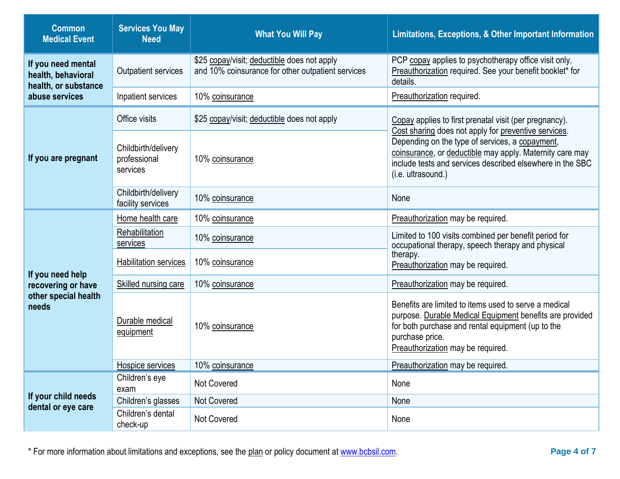| <b>Common</b><br><b>Medical Event</b>                            | <b>Services You May</b><br><b>Need</b>          | <b>What You Will Pay</b>                                                                         | Limitations, Exceptions, & Other Important Information                                                                                                                                                                                                 |  |
|------------------------------------------------------------------|-------------------------------------------------|--------------------------------------------------------------------------------------------------|--------------------------------------------------------------------------------------------------------------------------------------------------------------------------------------------------------------------------------------------------------|--|
| If you need mental<br>health, behavioral<br>health, or substance | <b>Outpatient services</b>                      | \$25 copay/visit; deductible does not apply<br>and 10% coinsurance for other outpatient services | PCP copay applies to psychotherapy office visit only.<br>Preauthorization required. See your benefit booklet* for<br>details.                                                                                                                          |  |
| abuse services                                                   | Inpatient services                              | 10% coinsurance                                                                                  | Preauthorization required.                                                                                                                                                                                                                             |  |
| If you are pregnant                                              | Office visits                                   | \$25 copay/visit; deductible does not apply                                                      | Copay applies to first prenatal visit (per pregnancy).                                                                                                                                                                                                 |  |
|                                                                  | Childbirth/delivery<br>professional<br>services | 10% coinsurance                                                                                  | Cost sharing does not apply for preventive services.<br>Depending on the type of services, a copayment,<br>coinsurance, or deductible may apply. Maternity care may<br>include tests and services described elsewhere in the SBC<br>(i.e. ultrasound.) |  |
|                                                                  | Childbirth/delivery<br>facility services        | 10% coinsurance                                                                                  | None                                                                                                                                                                                                                                                   |  |
|                                                                  | Home health care                                | 10% coinsurance                                                                                  | Preauthorization may be required.                                                                                                                                                                                                                      |  |
|                                                                  | Rehabilitation<br>services                      | 10% coinsurance                                                                                  | Limited to 100 visits combined per benefit period for<br>occupational therapy, speech therapy and physical                                                                                                                                             |  |
| If you need help                                                 | Habilitation services                           | 10% coinsurance                                                                                  | therapy.<br>Preauthorization may be required.                                                                                                                                                                                                          |  |
| recovering or have                                               | Skilled nursing care                            | 10% coinsurance                                                                                  | Preauthorization may be required.                                                                                                                                                                                                                      |  |
| other special health<br>needs                                    | Durable medical<br>equipment                    | 10% coinsurance                                                                                  | Benefits are limited to items used to serve a medical<br>purpose. Durable Medical Equipment benefits are provided<br>for both purchase and rental equipment (up to the<br>purchase price.<br>Preauthorization may be required.                         |  |
|                                                                  | Hospice services                                | 10% coinsurance                                                                                  | Preauthorization may be required.                                                                                                                                                                                                                      |  |
|                                                                  | Children's eye<br>exam                          | Not Covered                                                                                      | None                                                                                                                                                                                                                                                   |  |
| If your child needs<br>dental or eye care                        | Children's glasses                              | Not Covered                                                                                      | None                                                                                                                                                                                                                                                   |  |
|                                                                  | Children's dental<br>check-up                   | Not Covered                                                                                      | None                                                                                                                                                                                                                                                   |  |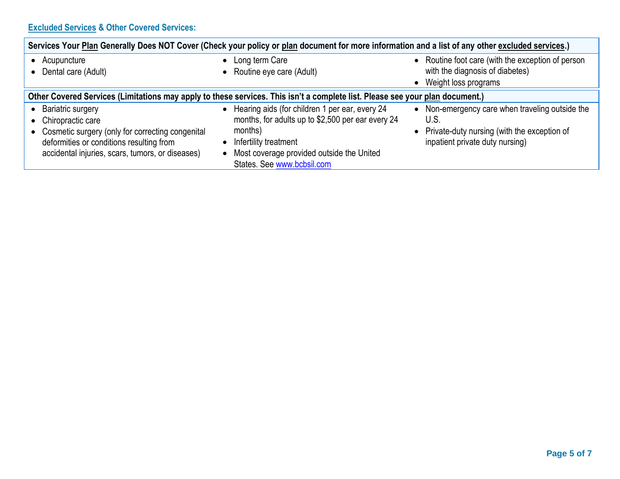## **Excluded Services & Other Covered Services:**

| Services Your Plan Generally Does NOT Cover (Check your policy or plan document for more information and a list of any other excluded services.)                                                  |                                                                                                                                                                                                                        |                                                                                                                                             |  |
|---------------------------------------------------------------------------------------------------------------------------------------------------------------------------------------------------|------------------------------------------------------------------------------------------------------------------------------------------------------------------------------------------------------------------------|---------------------------------------------------------------------------------------------------------------------------------------------|--|
| Acupuncture<br>Dental care (Adult)                                                                                                                                                                | Long term Care<br>• Routine eye care (Adult)                                                                                                                                                                           | • Routine foot care (with the exception of person<br>with the diagnosis of diabetes)<br>• Weight loss programs                              |  |
| Other Covered Services (Limitations may apply to these services. This isn't a complete list. Please see your plan document.)                                                                      |                                                                                                                                                                                                                        |                                                                                                                                             |  |
| <b>Bariatric surgery</b><br>Chiropractic care<br>Cosmetic surgery (only for correcting congenital<br>deformities or conditions resulting from<br>accidental injuries, scars, tumors, or diseases) | • Hearing aids (for children 1 per ear, every 24<br>months, for adults up to \$2,500 per ear every 24<br>months)<br>Infertility treatment<br>• Most coverage provided outside the United<br>States. See www.bcbsil.com | • Non-emergency care when traveling outside the<br>U.S.<br>• Private-duty nursing (with the exception of<br>inpatient private duty nursing) |  |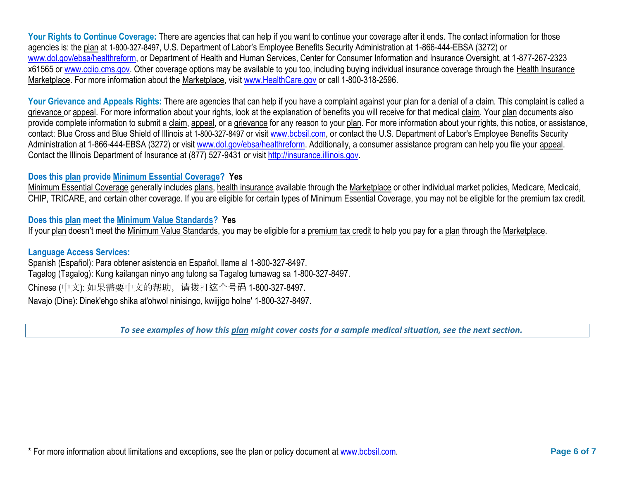Your Rights to Continue Coverage: There are agencies that can help if you want to continue your coverage after it ends. The contact information for those agencies is: the plan at 1-800-327-8497, U.S. Department of Labor's Employee Benefits Security Administration at 1-866-444-EBSA (3272) or [www.dol.gov/ebsa/healthreform,](http://www.dol.gov/ebsa/healthreform) or Department of Health and Human Services, Center for Consumer Information and Insurance Oversight, at 1-877-267-2323 x61565 or [www.cciio.cms.gov.](http://www.cciio.cms.gov/) Other coverage options may be available to you too, including buying individual insurance coverage through the Health Insurance Marketplace. For more information about the Marketplace, visi[t www.HealthCare.gov](http://www.healthcare.gov/) or call 1-800-318-2596.

Your Grievance and Appeals Rights: There are agencies that can help if you have a complaint against your plan for a denial of a claim. This complaint is called a grievance or appeal. For more information about your rights, look at the explanation of benefits you will receive for that medical claim. Your plan documents also provide complete information to submit a claim, appeal, or a grievance for any reason to your plan. For more information about your rights, this notice, or assistance, contact: Blue Cross and Blue Shield of Illinois at 1-800-327-8497 or visit [www.bcbsil.com,](www.bcbsil.com) or contact the U.S. Department of Labor's Employee Benefits Security Administration at 1-866-444-EBSA (3272) or visit [www.dol.gov/ebsa/healthreform.](http://www.dol.gov/ebsa/healthreform) Additionally, a consumer assistance program can help you file your appeal. Contact the Illinois Department of Insurance at (877) 527-9431 or visit [http://insurance.illinois.gov.](http://insurance.illinois.gov/)

### **Does this plan provide Minimum Essential Coverage? Yes**

Minimum Essential Coverage generally includes plans, health insurance available through the Marketplace or other individual market policies, Medicare, Medicaid, CHIP, TRICARE, and certain other coverage. If you are eligible for certain types of Minimum Essential Coverage, you may not be eligible for the premium tax credit.

#### **Does this plan meet the Minimum Value Standards? Yes**

If your plan doesn't meet the Minimum Value Standards, you may be eligible for a premium tax credit to help you pay for a plan through the Marketplace.

#### **Language Access Services:**

Spanish (Español): Para obtener asistencia en Español, llame al 1-800-327-8497. Tagalog (Tagalog): Kung kailangan ninyo ang tulong sa Tagalog tumawag sa 1-800-327-8497. Chinese (中文): 如果需要中文的帮助,请拨打这个号码 1-800-327-8497. Navajo (Dine): Dinek'ehgo shika at'ohwol ninisingo, kwiijigo holne' 1-800-327-8497.

*To see examples of how this plan might cover costs for a sample medical situation, see the next section.*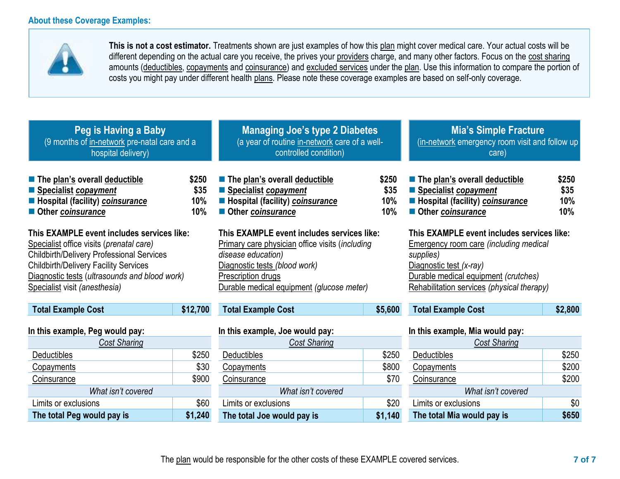**The total Peg would pay is \$1,240**



**This is not a cost estimator.** Treatments shown are just examples of how this plan might cover medical care. Your actual costs will be different depending on the actual care you receive, the prives your providers charge, and many other factors. Focus on the cost sharing amounts (deductibles, copayments and coinsurance) and excluded services under the plan. Use this information to compare the portion of costs you might pay under different health plans. Please note these coverage examples are based on self-only coverage.

| Peg is Having a Baby<br>(9 months of in-network pre-natal care and a<br>hospital delivery)                                                                                                                                                                                   |          | <b>Managing Joe's type 2 Diabetes</b><br>(a year of routine in-network care of a well-<br>controlled condition)                                                                                                                |         | <b>Mia's Simple Fracture</b><br>(in-network emergency room visit and follow up<br>care)                                                                                                                                   |                             |
|------------------------------------------------------------------------------------------------------------------------------------------------------------------------------------------------------------------------------------------------------------------------------|----------|--------------------------------------------------------------------------------------------------------------------------------------------------------------------------------------------------------------------------------|---------|---------------------------------------------------------------------------------------------------------------------------------------------------------------------------------------------------------------------------|-----------------------------|
| The plan's overall deductible<br>\$250<br>Specialist copayment<br>\$35<br><b>E</b> Hospital (facility) coinsurance<br>10%<br>10%<br>Other coinsurance                                                                                                                        |          | The plan's overall deductible<br>\$250<br>■ Specialist copayment<br>\$35<br><b>E</b> Hospital (facility) coinsurance<br>10%<br>10%<br>Other coinsurance                                                                        |         | The plan's overall deductible<br>Specialist copayment<br><b>E</b> Hospital (facility) coinsurance<br>Other coinsurance                                                                                                    | \$250<br>\$35<br>10%<br>10% |
| This EXAMPLE event includes services like:<br>Specialist office visits (prenatal care)<br><b>Childbirth/Delivery Professional Services</b><br><b>Childbirth/Delivery Facility Services</b><br>Diagnostic tests (ultrasounds and blood work)<br>Specialist visit (anesthesia) |          | This EXAMPLE event includes services like:<br>Primary care physician office visits (including<br>disease education)<br>Diagnostic tests (blood work)<br><b>Prescription drugs</b><br>Durable medical equipment (glucose meter) |         | This EXAMPLE event includes services like:<br><b>Emergency room care (including medical</b><br>supplies)<br>Diagnostic test (x-ray)<br>Durable medical equipment (crutches)<br>Rehabilitation services (physical therapy) |                             |
| <b>Total Example Cost</b>                                                                                                                                                                                                                                                    | \$12,700 | <b>Total Example Cost</b>                                                                                                                                                                                                      | \$5,600 | <b>Total Example Cost</b>                                                                                                                                                                                                 | \$2,800                     |
| In this example, Peg would pay:<br>Cost Sharing                                                                                                                                                                                                                              |          | In this example, Joe would pay:<br>Cost Sharing                                                                                                                                                                                |         | In this example, Mia would pay:<br><b>Cost Sharing</b>                                                                                                                                                                    |                             |
| <b>Deductibles</b>                                                                                                                                                                                                                                                           | \$250    | <b>Deductibles</b>                                                                                                                                                                                                             | \$250   | Deductibles                                                                                                                                                                                                               | \$250                       |
| Copayments                                                                                                                                                                                                                                                                   | \$30     | Copayments                                                                                                                                                                                                                     | \$800   | Copayments                                                                                                                                                                                                                | \$200                       |
| Coinsurance                                                                                                                                                                                                                                                                  | \$900    | Coinsurance                                                                                                                                                                                                                    | \$70    | <b>Coinsurance</b>                                                                                                                                                                                                        | \$200                       |
| What isn't covered                                                                                                                                                                                                                                                           |          | What isn't covered                                                                                                                                                                                                             |         | What isn't covered                                                                                                                                                                                                        |                             |
| \$60<br>Limits or exclusions                                                                                                                                                                                                                                                 |          | Limits or exclusions                                                                                                                                                                                                           | \$20    | Limits or exclusions                                                                                                                                                                                                      | \$0                         |

**The total Joe would pay is \$1,140**

**The total Mia would pay is \$650**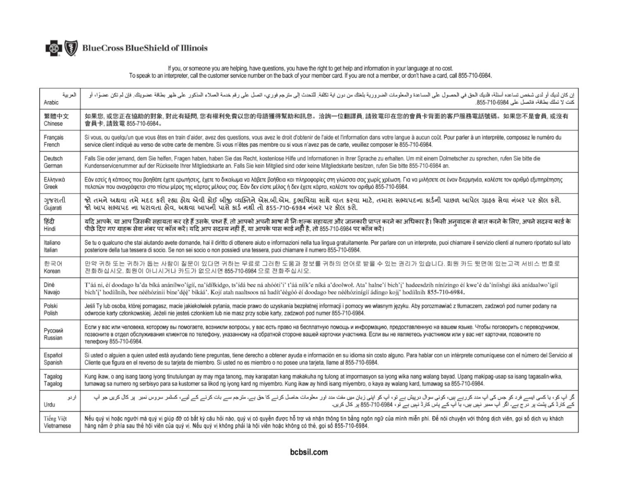

# If you, or someone you are helping, have questions, you have the right to get help and information in your language at no cost.<br>To speak to an interpreter, call the customer service number on the back of your member card.

| العربية            | إن كان لديك أو لدى شخص تساعده أسئلة، فلديك الحول على المساعدة والمعلومات الضرورية بلغتك من ن المن تعاشر المشرع وفروى، اتصل على رقم خدمة العملاء المذكور على ظهر بطاقة عضويتك. فإن لم تك عن المدم المذكور على ظهر بطاقة عضويتك.                                                                                                                                                                         |  |  |
|--------------------|--------------------------------------------------------------------------------------------------------------------------------------------------------------------------------------------------------------------------------------------------------------------------------------------------------------------------------------------------------------------------------------------------------|--|--|
| Arabic             | كنت لا تملك بطاقة، فاتصل على 6984-710-855.                                                                                                                                                                                                                                                                                                                                                             |  |  |
| 繁體中文               | 如果您, 或您正在協助的對象, 對此有疑問, 您有權利免費以您的母語獲得幫助和訊息。洽詢一位翻譯員, 請致電印在您的會員卡背面的客戶服務電話號碼。如果您不是會員, 或沒有                                                                                                                                                                                                                                                                                                                  |  |  |
| Chinese            | 會員卡,請致電 855-710-6984。                                                                                                                                                                                                                                                                                                                                                                                  |  |  |
| Français           | Si vous, ou quelqu'un que vous êtes en train d'aider, avez des questions, vous avez le droit d'obtenir de l'aide et l'information dans votre langue à aucun coût. Pour parler à un interprète, composez le numéro du                                                                                                                                                                                   |  |  |
| French             | service client indiqué au verso de votre carte de membre. Si vous n'êtes pas membre ou si vous n'avez pas de carte, veuillez composer le 855-710-6984.                                                                                                                                                                                                                                                 |  |  |
| Deutsch            | Falls Sie oder jemand, dem Sie helfen, Fragen haben, haben Sie das Recht, kostenlose Hilfe und Informationen in Ihrer Sprache zu erhalten. Um mit einem Dolmetscher zu sprechen, rufen Sie bitte die                                                                                                                                                                                                   |  |  |
| German             | Kundenservicenummer auf der Rückseite Ihrer Mitgliedskarte an. Falls Sie kein Mitglied sind oder keine Mitgliedskarte besitzen, rufen Sie bitte 855-710-6984 an.                                                                                                                                                                                                                                       |  |  |
| Ελληνικά           | Εάν εσείς ή κάποιος που βοηθάτε έχετε ερωτήσεις, έχετε το δικαίωμα να λάβετε βοήθεια και πληροφορίες στη γλώσσα σας χωρίς χρέωση. Για να μιλήσετε σε έναν διερμηνέα, καλέστε τον αριθμό εξυπηρέτησης                                                                                                                                                                                                   |  |  |
| Greek              | πελατών που αναγράφεται στο πίσω μέρος της κάρτας μέλους σας. Εάν δεν είστε μέλος ή δεν έχετε κάρτα, καλέστε τον αριθμό 855-710-6984.                                                                                                                                                                                                                                                                  |  |  |
| ગુજરાતી            | જો તમને અથવા તમે મદદ કરી રહ્યા હોય એવી કોઈ બીજી વ્યક્તિને એસ.બી.એમ. દુભાષિયા સાથે વાત કરવા માટે, તમારા સભ્યપદના કાર્ડની પાછળ આપેલ ગ્રાહક સેવા નંબર પર કૉલ કરો.                                                                                                                                                                                                                                         |  |  |
| Gujarati           | જો આપ સભ્યપદ ના ધરાવતા હોવ. અથવા આપની પાસે કાર્ડ નથી તો 855-710-6984 નંબર પર કૉલ કરો.                                                                                                                                                                                                                                                                                                                  |  |  |
| हिंदी              | यदि आपके, या आप जिसकी सहायता कर रहे हैं उसके, प्रश्न हैं, तो आपको अपनी भाषा में निःशुल्क सहायता और जानकारी प्राप्त करने का अधिकार है। किसी अनुवादक से बात करने के लिए, अपने सदस्य कार्ड के                                                                                                                                                                                                             |  |  |
| Hindi              | पीछे दिए गए ग्राहक सेवा नंबर पर कॉल करें। यदि आप सदस्य नहीं हैं. या आपके पास कार्ड नहीं है. तो 855-710-6984 पर कॉल करें।                                                                                                                                                                                                                                                                               |  |  |
| Italiano           | Se tu o qualcuno che stai aiutando avete domande, hai il diritto di ottenere aiuto e informazioni nella tua linqua gratuitamente. Per parlare con un interprete, puoi chiamare il servizio clienti al numero riportato sul lat                                                                                                                                                                         |  |  |
| Italian            | posteriore della tua tessera di socio. Se non sei socio o non possiedi una tessera, puoi chiamare il numero 855-710-6984.                                                                                                                                                                                                                                                                              |  |  |
| 한국어                | 만약 귀하 또는 귀하가 돕는 사람이 질문이 있다면 귀하는 무료로 그러한 도움과 정보를 귀하의 언어로 받을 수 있는 권리가 있습니다. 회원 카드 뒷면에 있는고객 서비스 번호로                                                                                                                                                                                                                                                                                                       |  |  |
| Korean             | 전화하십시오. 회원이 아니시거나 카드가 없으시면 855-710-6984 으로 전화주십시오.                                                                                                                                                                                                                                                                                                                                                     |  |  |
| Diné               | T'áá ni, éí doodago la'da bíká anánílwo'ígíí, na'ídílkidgo, ts'ídá bee ná ahóóti'i' t'áá níík'e níká a'doolwol. Ata' halne'í bich'i' hadeesdzih nínízingo éí kwe'é da'íníishgi áká anídaalwo'ígíí                                                                                                                                                                                                      |  |  |
| Navajo             | bich'i' hodíílnih, bee nééhózinii bine'déé' bikáá'. Kojí atah naaltsoos ná hadít'éégóó éí doodago bee nééhózinígíí ádingo koji' hodíílnih 855-710-6984.                                                                                                                                                                                                                                                |  |  |
| Polski             | Jeśli Ty lub osoba, której pomagasz, macie jakiekolwiek pytania, macie prawo do uzyskania bezpłatnej informacji i pomocy we własnym języku. Aby porozmawiać z tłumaczem, zadzwoń pod numer podany na                                                                                                                                                                                                   |  |  |
| Polish             | odwrocie karty członkowskiej. Jeżeli nie jesteś członkiem lub nie masz przy sobie karty, zadzwoń pod numer 855-710-6984.                                                                                                                                                                                                                                                                               |  |  |
| Русский<br>Russian | Если у вас или человека, которому вы помогаете, возникли вопросы, у вас есть право на бесплатную помощь и информацию, предоставленную на вашем языке. Чтобы поговорить с переводчиком,<br>позвоните в отдел обслуживания клиентов по телефону, указанному на обратной стороне вашей карточки участника. Если вы не являетесь участником или у вас нет карточки, позвоните по<br>телефону 855-710-6984. |  |  |
| Español            | Si usted o alguien a quien usted está ayudando tiene preguntas, tiene derecho a obtener ayuda e información en su idioma sin costo alguno. Para hablar con un intérprete comuníquese con el número del Servicio al                                                                                                                                                                                     |  |  |
| Spanish            | Cliente que figura en el reverso de su tarieta de miembro. Si usted no es miembro o no posee una tarieta, llame al 855-710-6984.                                                                                                                                                                                                                                                                       |  |  |
| Tagalog            | Kung ikaw, o ang isang taong iyong tinutulungan ay may mga tanong, may karapatan kang makakuha ng tulong at impormasyon sa iyong wika nang walang bayad. Upang makipag-usap sa isang tagasalin-wika,                                                                                                                                                                                                   |  |  |
| Tagalog            | tumawag sa numero ng serbisyo para sa kustomer sa likod ng iyong kard ng miyembro. Kung ikaw ay hindi isang miyembro, o kaya ay walang kard, tumawag sa 855-710-6984.                                                                                                                                                                                                                                  |  |  |
| اردو               | گر آپ کو، یا کسی ایسے فرد کو جن کی آپ مدد کررہے ہیں، کوئی سوال درپیش ہے پار کی اور پار کو ماسل کو سے کے ساکے سے بات کرنے کے لیے، کسٹر سروس نمبر پر کال کریں جو آپ                                                                                                                                                                                                                                      |  |  |
| Urdu               | کے کارڈ کی پشت پر درج ہے۔ اگر آپ ممبر نہیں ہیں، یا آپ کے پاس کارڈ نہیں ہے تو ، 6984-710-855 پر کال کریں۔                                                                                                                                                                                                                                                                                               |  |  |
| Tiếng Việt         | Nếu quý vị hoặc người mà quý vị giúp đỡ có bất kỳ câu hỏi nào, quý vị có quyền được hỗ trợ và nhận thông tin bằng ngôn ngữ của mình miễn phí. Để nói chuyện với thông dịch viên, gọi số dịch vụ khách                                                                                                                                                                                                  |  |  |
| Vietnamese         | hàng nằm ở phía sau thẻ hội viên của quý vị. Nếu quý vị không phải là hội viên hoặc không có thẻ, gọi số 855-710-6984.                                                                                                                                                                                                                                                                                 |  |  |